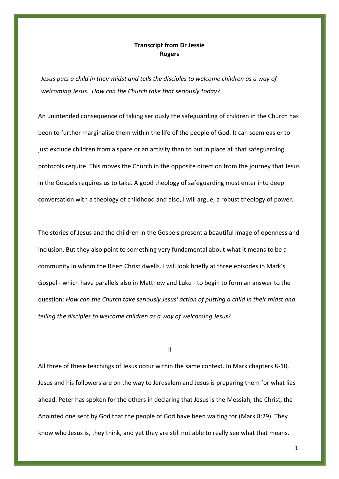## **Transcript from Dr Jessie Rogers**

*Jesus puts a child in their midst and tells the disciples to welcome children as a way of welcoming Jesus. How can the Church take that seriously today?*

An unintended consequence of taking seriously the safeguarding of children in the Church has been to further marginalise them within the life of the people of God. It can seem easier to just exclude children from a space or an activity than to put in place all that safeguarding protocols require. This moves the Church in the opposite direction from the journey that Jesus in the Gospels requires us to take. A good theology of safeguarding must enter into deep conversation with a theology of childhood and also, I will argue, a robust theology of power.

The stories of Jesus and the children in the Gospels present a beautiful image of openness and inclusion. But they also point to something very fundamental about what it means to be a community in whom the Risen Christ dwells. I will look briefly at three episodes in Mark's Gospel - which have parallels also in Matthew and Luke - to begin to form an answer to the question: *How can the Church take seriously Jesus' action of putting a child in their midst and telling the disciples to welcome children as a way of welcoming Jesus?*

II

All three of these teachings of Jesus occur within the same context. In Mark chapters 8-10, Jesus and his followers are on the way to Jerusalem and Jesus is preparing them for what lies ahead. Peter has spoken for the others in declaring that Jesus is the Messiah, the Christ, the Anointed one sent by God that the people of God have been waiting for (Mark 8:29). They know who Jesus is, they think, and yet they are still not able to really see what that means.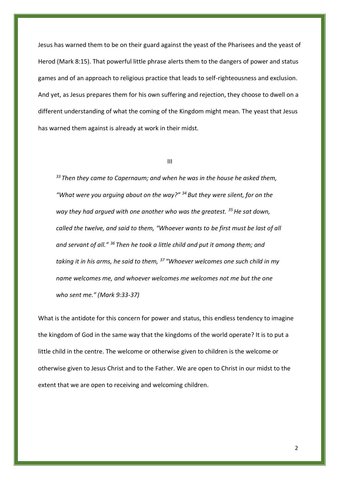Jesus has warned them to be on their guard against the yeast of the Pharisees and the yeast of Herod (Mark 8:15). That powerful little phrase alerts them to the dangers of power and status games and of an approach to religious practice that leads to self-righteousness and exclusion. And yet, as Jesus prepares them for his own suffering and rejection, they choose to dwell on a different understanding of what the coming of the Kingdom might mean. The yeast that Jesus has warned them against is already at work in their midst.

## III

*<sup>33</sup>Then they came to Capernaum; and when he was in the house he asked them, "What were you arguing about on the way?" <sup>34</sup>But they were silent, for on the way they had argued with one another who was the greatest. <sup>35</sup>He sat down, called the twelve, and said to them, "Whoever wants to be first must be last of all and servant of all." <sup>36</sup>Then he took a little child and put it among them; and taking it in his arms, he said to them, <sup>37</sup>"Whoever welcomes one such child in my name welcomes me, and whoever welcomes me welcomes not me but the one who sent me." (Mark 9:33-37)*

What is the antidote for this concern for power and status, this endless tendency to imagine the kingdom of God in the same way that the kingdoms of the world operate? It is to put a little child in the centre. The welcome or otherwise given to children is the welcome or otherwise given to Jesus Christ and to the Father. We are open to Christ in our midst to the extent that we are open to receiving and welcoming children.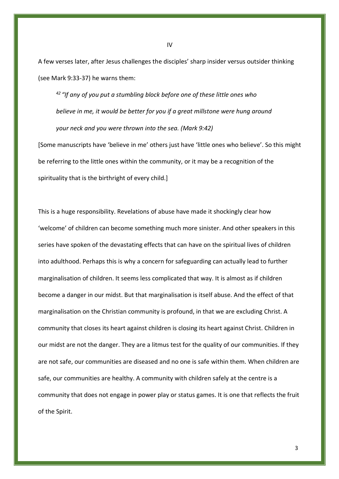A few verses later, after Jesus challenges the disciples' sharp insider versus outsider thinking (see Mark 9:33-37) he warns them:

*<sup>42</sup>"If any of you put a stumbling block before one of these little ones who believe in me, it would be better for you if a great millstone were hung around your neck and you were thrown into the sea. (Mark 9:42)*

[Some manuscripts have 'believe in me' others just have 'little ones who believe'. So this might be referring to the little ones within the community, or it may be a recognition of the spirituality that is the birthright of every child.]

This is a huge responsibility. Revelations of abuse have made it shockingly clear how 'welcome' of children can become something much more sinister. And other speakers in this series have spoken of the devastating effects that can have on the spiritual lives of children into adulthood. Perhaps this is why a concern for safeguarding can actually lead to further marginalisation of children. It seems less complicated that way. It is almost as if children become a danger in our midst. But that marginalisation is itself abuse. And the effect of that marginalisation on the Christian community is profound, in that we are excluding Christ. A community that closes its heart against children is closing its heart against Christ. Children in our midst are not the danger. They are a litmus test for the quality of our communities. If they are not safe, our communities are diseased and no one is safe within them. When children are safe, our communities are healthy. A community with children safely at the centre is a community that does not engage in power play or status games. It is one that reflects the fruit of the Spirit.

IV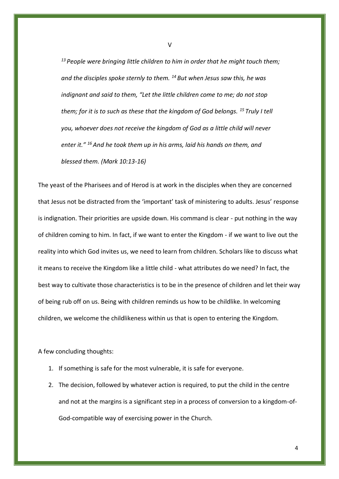*<sup>13</sup>People were bringing little children to him in order that he might touch them; and the disciples spoke sternly to them. <sup>14</sup>But when Jesus saw this, he was indignant and said to them, "Let the little children come to me; do not stop them; for it is to such as these that the kingdom of God belongs. <sup>15</sup>Truly I tell you, whoever does not receive the kingdom of God as a little child will never enter it." <sup>16</sup>And he took them up in his arms, laid his hands on them, and blessed them. (Mark 10:13-16)*

The yeast of the Pharisees and of Herod is at work in the disciples when they are concerned that Jesus not be distracted from the 'important' task of ministering to adults. Jesus' response is indignation. Their priorities are upside down. His command is clear - put nothing in the way of children coming to him. In fact, if we want to enter the Kingdom - if we want to live out the reality into which God invites us, we need to learn from children. Scholars like to discuss what it means to receive the Kingdom like a little child - what attributes do we need? In fact, the best way to cultivate those characteristics is to be in the presence of children and let their way of being rub off on us. Being with children reminds us how to be childlike. In welcoming children, we welcome the childlikeness within us that is open to entering the Kingdom.

A few concluding thoughts:

- 1. If something is safe for the most vulnerable, it is safe for everyone.
- 2. The decision, followed by whatever action is required, to put the child in the centre and not at the margins is a significant step in a process of conversion to a kingdom-of-God-compatible way of exercising power in the Church.

V